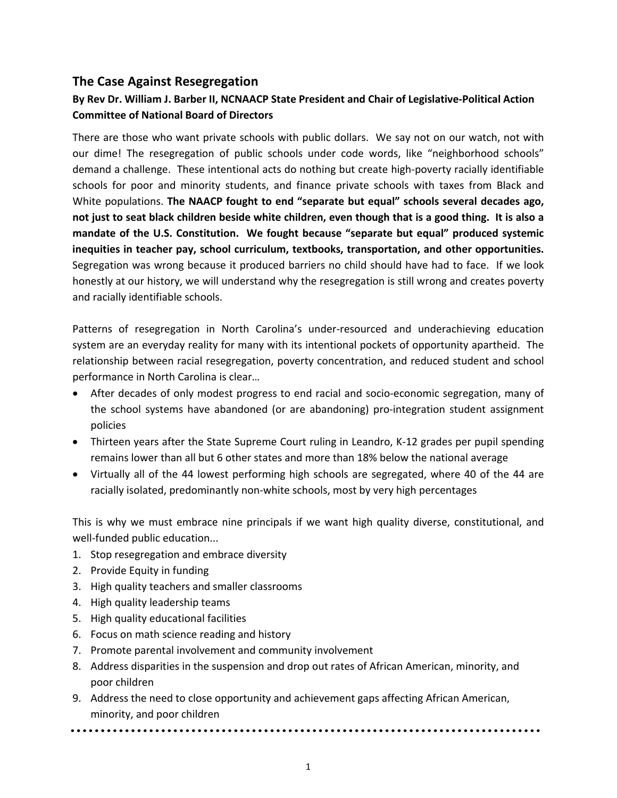# **The Case Against Resegregation**

# **By Rev Dr. William J. Barber II, NCNAACP State President and Chair of Legislative‐Political Action Committee of National Board of Directors**

There are those who want private schools with public dollars. We say not on our watch, not with our dime! The resegregation of public schools under code words, like "neighborhood schools" demand a challenge. These intentional acts do nothing but create high‐poverty racially identifiable schools for poor and minority students, and finance private schools with taxes from Black and White populations. **The NAACP fought to end "separate but equal" schools several decades ago,** not just to seat black children beside white children, even though that is a good thing. It is also a **mandate of the U.S. Constitution. We fought because "separate but equal" produced systemic inequities in teacher pay, school curriculum, textbooks, transportation, and other opportunities.** Segregation was wrong because it produced barriers no child should have had to face. If we look honestly at our history, we will understand why the resegregation is still wrong and creates poverty and racially identifiable schools.

Patterns of resegregation in North Carolina's under‐resourced and underachieving education system are an everyday reality for many with its intentional pockets of opportunity apartheid. The relationship between racial resegregation, poverty concentration, and reduced student and school performance in North Carolina is clear…

- After decades of only modest progress to end racial and socio-economic segregation, many of the school systems have abandoned (or are abandoning) pro-integration student assignment policies
- Thirteen years after the State Supreme Court ruling in Leandro, K-12 grades per pupil spending remains lower than all but 6 other states and more than 18% below the national average
- Virtually all of the 44 lowest performing high schools are segregated, where 40 of the 44 are racially isolated, predominantly non-white schools, most by very high percentages

This is why we must embrace nine principals if we want high quality diverse, constitutional, and well-funded public education...

- 1. Stop resegregation and embrace diversity
- 2. Provide Equity in funding
- 3. High quality teachers and smaller classrooms
- 4. High quality leadership teams
- 5. High quality educational facilities
- 6. Focus on math science reading and history
- 7. Promote parental involvement and community involvement
- 8. Address disparities in the suspension and drop out rates of African American, minority, and poor children
- 9. Address the need to close opportunity and achievement gaps affecting African American, minority, and poor children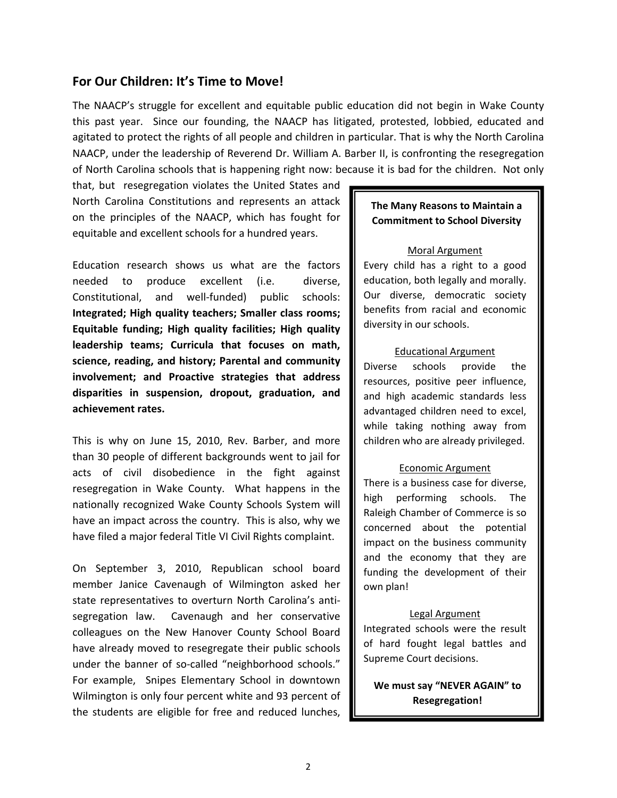## **For Our Children: It's Time to Move!**

The NAACP's struggle for excellent and equitable public education did not begin in Wake County this past year. Since our founding, the NAACP has litigated, protested, lobbied, educated and agitated to protect the rights of all people and children in particular. That is why the North Carolina NAACP, under the leadership of Reverend Dr. William A. Barber II, is confronting the resegregation of North Carolina schools that is happening right now: because it is bad for the children. Not only

that, but resegregation violates the United States and North Carolina Constitutions and represents an attack on the principles of the NAACP, which has fought for equitable and excellent schools for a hundred years.

Education research shows us what are the factors needed to produce excellent (i.e. diverse, Constitutional, and well‐funded) public schools: **Integrated; High quality teachers; Smaller class rooms; Equitable funding; High quality facilities; High quality leadership teams; Curricula that focuses on math, science, reading, and history; Parental and community involvement; and Proactive strategies that address disparities in suspension, dropout, graduation, and achievement rates.**

This is why on June 15, 2010, Rev. Barber, and more than 30 people of different backgrounds went to jail for acts of civil disobedience in the fight against resegregation in Wake County. What happens in the nationally recognized Wake County Schools System will have an impact across the country. This is also, why we have filed a major federal Title VI Civil Rights complaint.

On September 3, 2010, Republican school board member Janice Cavenaugh of Wilmington asked her state representatives to overturn North Carolina's anti‐ segregation law. Cavenaugh and her conservative colleagues on the New Hanover County School Board have already moved to resegregate their public schools under the banner of so-called "neighborhood schools." For example, Snipes Elementary School in downtown Wilmington is only four percent white and 93 percent of the students are eligible for free and reduced lunches,

## **The Many Reasons to Maintain a Commitment to School Diversity**

#### Moral Argument

Every child has a right to a good education, both legally and morally. Our diverse, democratic society benefits from racial and economic diversity in our schools.

#### Educational Argument

Diverse schools provide the resources, positive peer influence, and high academic standards less advantaged children need to excel, while taking nothing away from children who are already privileged.

#### Economic Argument

There is a business case for diverse, high performing schools. The Raleigh Chamber of Commerce is so concerned about the potential impact on the business community and the economy that they are funding the development of their own plan!

#### Legal Argument

Integrated schools were the result of hard fought legal battles and Supreme Court decisions.

**We must say "NEVER AGAIN" to Resegregation!**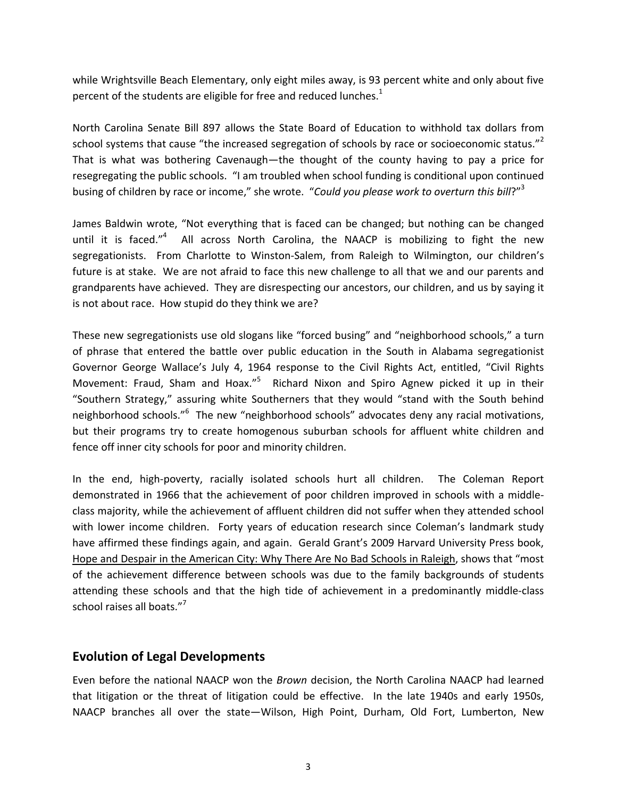while Wrightsville Beach Elementary, only eight miles away, is 93 percent white and only about five percent of the students are eligible for free and reduced lunches.<sup>1</sup>

North Carolina Senate Bill 897 allows the State Board of Education to withhold tax dollars from school systems that cause "the increased segregation of schools by race or socioeconomic status."<sup>2</sup> That is what was bothering Cavenaugh—the thought of the county having to pay a price for resegregating the public schools. "I am troubled when school funding is conditional upon continued busing of children by race or income," she wrote. "*Could you please work to overturn this bill*?"3

James Baldwin wrote, "Not everything that is faced can be changed; but nothing can be changed until it is faced."<sup>4</sup> All across North Carolina, the NAACP is mobilizing to fight the new segregationists. From Charlotte to Winston-Salem, from Raleigh to Wilmington, our children's future is at stake. We are not afraid to face this new challenge to all that we and our parents and grandparents have achieved. They are disrespecting our ancestors, our children, and us by saying it is not about race. How stupid do they think we are?

These new segregationists use old slogans like "forced busing" and "neighborhood schools," a turn of phrase that entered the battle over public education in the South in Alabama segregationist Governor George Wallace's July 4, 1964 response to the Civil Rights Act, entitled, "Civil Rights Movement: Fraud, Sham and Hoax."<sup>5</sup> Richard Nixon and Spiro Agnew picked it up in their "Southern Strategy," assuring white Southerners that they would "stand with the South behind neighborhood schools."<sup>6</sup> The new "neighborhood schools" advocates deny any racial motivations, but their programs try to create homogenous suburban schools for affluent white children and fence off inner city schools for poor and minority children.

In the end, high-poverty, racially isolated schools hurt all children. The Coleman Report demonstrated in 1966 that the achievement of poor children improved in schools with a middle‐ class majority, while the achievement of affluent children did not suffer when they attended school with lower income children. Forty years of education research since Coleman's landmark study have affirmed these findings again, and again. Gerald Grant's 2009 Harvard University Press book, Hope and Despair in the American City: Why There Are No Bad Schools in Raleigh, shows that "most of the achievement difference between schools was due to the family backgrounds of students attending these schools and that the high tide of achievement in a predominantly middle‐class school raises all boats."<sup>7</sup>

# **Evolution of Legal Developments**

Even before the national NAACP won the *Brown* decision, the North Carolina NAACP had learned that litigation or the threat of litigation could be effective. In the late 1940s and early 1950s, NAACP branches all over the state—Wilson, High Point, Durham, Old Fort, Lumberton, New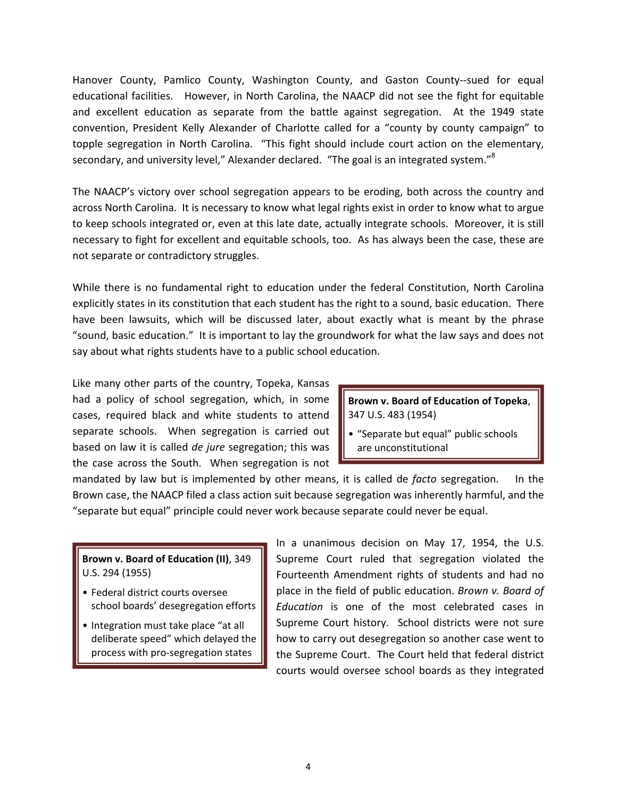Hanover County, Pamlico County, Washington County, and Gaston County--sued for equal educational facilities. However, in North Carolina, the NAACP did not see the fight for equitable and excellent education as separate from the battle against segregation. At the 1949 state convention, President Kelly Alexander of Charlotte called for a "county by county campaign" to topple segregation in North Carolina. "This fight should include court action on the elementary, secondary, and university level," Alexander declared. "The goal is an integrated system." $8$ 

The NAACP's victory over school segregation appears to be eroding, both across the country and across North Carolina. It is necessary to know what legal rights exist in order to know what to argue to keep schools integrated or, even at this late date, actually integrate schools. Moreover, it is still necessary to fight for excellent and equitable schools, too. As has always been the case, these are not separate or contradictory struggles.

While there is no fundamental right to education under the federal Constitution, North Carolina explicitly states in its constitution that each student has the right to a sound, basic education. There have been lawsuits, which will be discussed later, about exactly what is meant by the phrase "sound, basic education." It is important to lay the groundwork for what the law says and does not say about what rights students have to a public school education.

Like many other parts of the country, Topeka, Kansas had a policy of school segregation, which, in some cases, required black and white students to attend separate schools. When segregation is carried out based on law it is called *de jure* segregation; this was the case across the South. When segregation is not

## **Brown v. Board of Education of Topeka**, 347 U.S. 483 (1954)

• "Separate but equal" public schools are unconstitutional

mandated by law but is implemented by other means, it is called de *facto* segregation. In the Brown case, the NAACP filed a class action suit because segregation was inherently harmful, and the "separate but equal" principle could never work because separate could never be equal.

## **Brown v. Board of Education (II)**, 349 U.S. 294 (1955)

- Federal district courts oversee school boards' desegregation efforts
- Integration must take place "at all deliberate speed" which delayed the process with pro‐segregation states

In a unanimous decision on May 17, 1954, the U.S. Supreme Court ruled that segregation violated the Fourteenth Amendment rights of students and had no place in the field of public education. *Brown v. Board of Education* is one of the most celebrated cases in Supreme Court history. School districts were not sure how to carry out desegregation so another case went to the Supreme Court. The Court held that federal district courts would oversee school boards as they integrated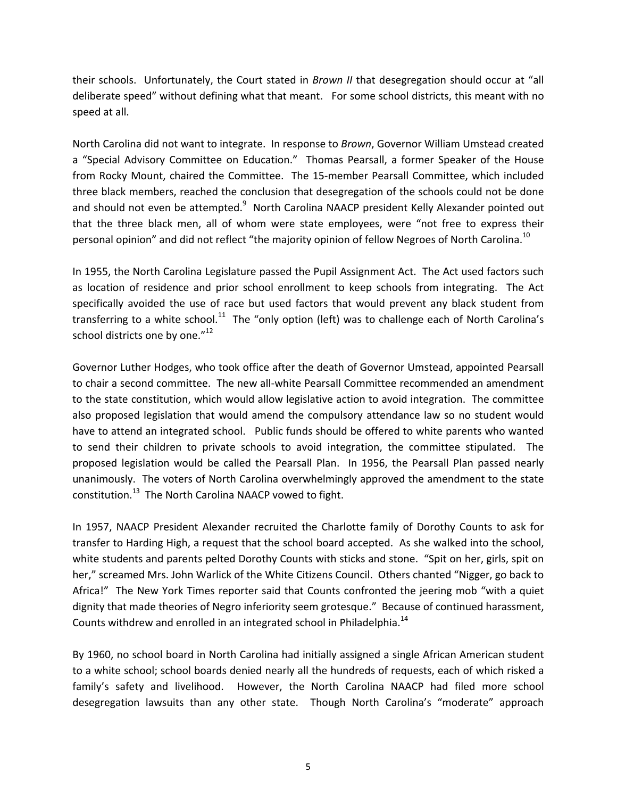their schools. Unfortunately, the Court stated in *Brown II* that desegregation should occur at "all deliberate speed" without defining what that meant. For some school districts, this meant with no speed at all.

North Carolina did not want to integrate. In response to *Brown*, Governor William Umstead created a "Special Advisory Committee on Education." Thomas Pearsall, a former Speaker of the House from Rocky Mount, chaired the Committee. The 15-member Pearsall Committee, which included three black members, reached the conclusion that desegregation of the schools could not be done and should not even be attempted.<sup>9</sup> North Carolina NAACP president Kelly Alexander pointed out that the three black men, all of whom were state employees, were "not free to express their personal opinion" and did not reflect "the majority opinion of fellow Negroes of North Carolina.<sup>10</sup>

In 1955, the North Carolina Legislature passed the Pupil Assignment Act. The Act used factors such as location of residence and prior school enrollment to keep schools from integrating. The Act specifically avoided the use of race but used factors that would prevent any black student from transferring to a white school.<sup>11</sup> The "only option (left) was to challenge each of North Carolina's school districts one by one."<sup>12</sup>

Governor Luther Hodges, who took office after the death of Governor Umstead, appointed Pearsall to chair a second committee. The new all-white Pearsall Committee recommended an amendment to the state constitution, which would allow legislative action to avoid integration. The committee also proposed legislation that would amend the compulsory attendance law so no student would have to attend an integrated school. Public funds should be offered to white parents who wanted to send their children to private schools to avoid integration, the committee stipulated. The proposed legislation would be called the Pearsall Plan. In 1956, the Pearsall Plan passed nearly unanimously. The voters of North Carolina overwhelmingly approved the amendment to the state constitution.<sup>13</sup> The North Carolina NAACP vowed to fight.

In 1957, NAACP President Alexander recruited the Charlotte family of Dorothy Counts to ask for transfer to Harding High, a request that the school board accepted. As she walked into the school, white students and parents pelted Dorothy Counts with sticks and stone. "Spit on her, girls, spit on her," screamed Mrs. John Warlick of the White Citizens Council. Others chanted "Nigger, go back to Africa!" The New York Times reporter said that Counts confronted the jeering mob "with a quiet dignity that made theories of Negro inferiority seem grotesque." Because of continued harassment, Counts withdrew and enrolled in an integrated school in Philadelphia.<sup>14</sup>

By 1960, no school board in North Carolina had initially assigned a single African American student to a white school; school boards denied nearly all the hundreds of requests, each of which risked a family's safety and livelihood. However, the North Carolina NAACP had filed more school desegregation lawsuits than any other state. Though North Carolina's "moderate" approach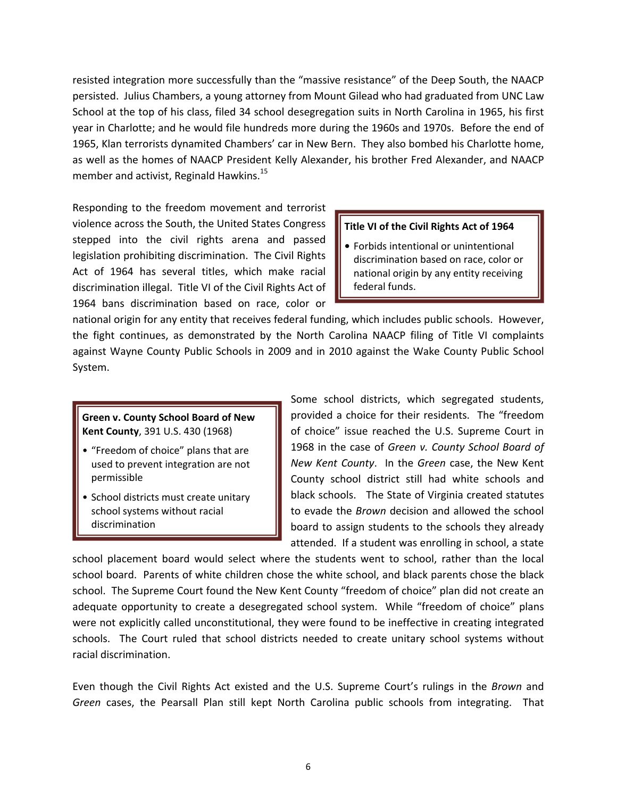resisted integration more successfully than the "massive resistance" of the Deep South, the NAACP persisted. Julius Chambers, a young attorney from Mount Gilead who had graduated from UNC Law School at the top of his class, filed 34 school desegregation suits in North Carolina in 1965, his first year in Charlotte; and he would file hundreds more during the 1960s and 1970s. Before the end of 1965, Klan terrorists dynamited Chambers' car in New Bern. They also bombed his Charlotte home, as well as the homes of NAACP President Kelly Alexander, his brother Fred Alexander, and NAACP member and activist, Reginald Hawkins.<sup>15</sup>

Responding to the freedom movement and terrorist violence across the South, the United States Congress stepped into the civil rights arena and passed legislation prohibiting discrimination. The Civil Rights Act of 1964 has several titles, which make racial discrimination illegal. Title VI of the Civil Rights Act of 1964 bans discrimination based on race, color or

#### **Title VI of the Civil Rights Act of 1964**

**•** Forbids intentional or unintentional discrimination based on race, color or national origin by any entity receiving federal funds.

national origin for any entity that receives federal funding, which includes public schools. However, the fight continues, as demonstrated by the North Carolina NAACP filing of Title VI complaints against Wayne County Public Schools in 2009 and in 2010 against the Wake County Public School System.

#### **Green v. County School Board of New Kent County**, 391 U.S. 430 (1968)

- "Freedom of choice" plans that are used to prevent integration are not permissible
- School districts must create unitary school systems without racial discrimination

Some school districts, which segregated students, provided a choice for their residents. The "freedom of choice" issue reached the U.S. Supreme Court in 1968 in the case of *Green v. County School Board of New Kent County*. In the *Green* case, the New Kent County school district still had white schools and black schools. The State of Virginia created statutes to evade the *Brown* decision and allowed the school board to assign students to the schools they already attended. If a student was enrolling in school, a state

school placement board would select where the students went to school, rather than the local school board. Parents of white children chose the white school, and black parents chose the black school. The Supreme Court found the New Kent County "freedom of choice" plan did not create an adequate opportunity to create a desegregated school system. While "freedom of choice" plans were not explicitly called unconstitutional, they were found to be ineffective in creating integrated schools. The Court ruled that school districts needed to create unitary school systems without racial discrimination.

Even though the Civil Rights Act existed and the U.S. Supreme Court's rulings in the *Brown* and *Green* cases, the Pearsall Plan still kept North Carolina public schools from integrating. That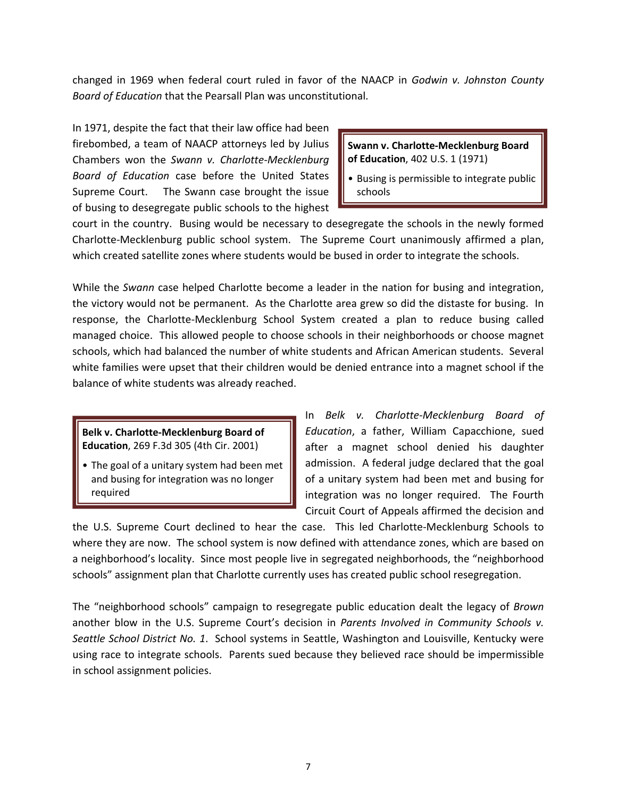changed in 1969 when federal court ruled in favor of the NAACP in *Godwin v. Johnston County Board of Education* that the Pearsall Plan was unconstitutional.

In 1971, despite the fact that their law office had been firebombed, a team of NAACP attorneys led by Julius Chambers won the *Swann v. Charlotte‐Mecklenburg Board of Education* case before the United States Supreme Court. The Swann case brought the issue of busing to desegregate public schools to the highest

**Swann v. Charlotte‐Mecklenburg Board of Education**, 402 U.S. 1 (1971)

• Busing is permissible to integrate public schools

court in the country. Busing would be necessary to desegregate the schools in the newly formed Charlotte‐Mecklenburg public school system. The Supreme Court unanimously affirmed a plan, which created satellite zones where students would be bused in order to integrate the schools.

While the *Swann* case helped Charlotte become a leader in the nation for busing and integration, the victory would not be permanent. As the Charlotte area grew so did the distaste for busing. In response, the Charlotte‐Mecklenburg School System created a plan to reduce busing called managed choice. This allowed people to choose schools in their neighborhoods or choose magnet schools, which had balanced the number of white students and African American students. Several white families were upset that their children would be denied entrance into a magnet school if the balance of white students was already reached.

**Belk v. Charlotte‐Mecklenburg Board of Education**, 269 F.3d 305 (4th Cir. 2001)

• The goal of a unitary system had been met and busing for integration was no longer required

In *Belk v. Charlotte‐Mecklenburg Board of Education*, a father, William Capacchione, sued after a magnet school denied his daughter admission. A federal judge declared that the goal of a unitary system had been met and busing for integration was no longer required. The Fourth Circuit Court of Appeals affirmed the decision and

the U.S. Supreme Court declined to hear the case. This led Charlotte-Mecklenburg Schools to where they are now. The school system is now defined with attendance zones, which are based on a neighborhood's locality. Since most people live in segregated neighborhoods, the "neighborhood schools" assignment plan that Charlotte currently uses has created public school resegregation.

The "neighborhood schools" campaign to resegregate public education dealt the legacy of *Brown* another blow in the U.S. Supreme Court's decision in *Parents Involved in Community Schools v. Seattle School District No. 1*. School systems in Seattle, Washington and Louisville, Kentucky were using race to integrate schools. Parents sued because they believed race should be impermissible in school assignment policies.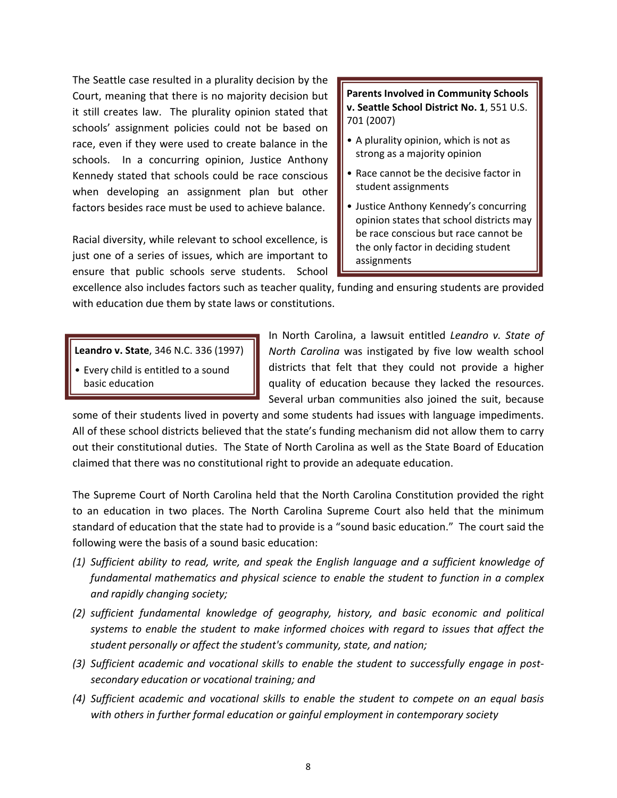The Seattle case resulted in a plurality decision by the Court, meaning that there is no majority decision but it still creates law. The plurality opinion stated that schools' assignment policies could not be based on race, even if they were used to create balance in the schools. In a concurring opinion, Justice Anthony Kennedy stated that schools could be race conscious when developing an assignment plan but other factors besides race must be used to achieve balance.

Racial diversity, while relevant to school excellence, is just one of a series of issues, which are important to ensure that public schools serve students. School

## **Parents Involved in Community Schools v. Seattle School District No. 1**, 551 U.S. 701 (2007)

- A plurality opinion, which is not as strong as a majority opinion
- Race cannot be the decisive factor in student assignments
- Justice Anthony Kennedy's concurring opinion states that school districts may be race conscious but race cannot be the only factor in deciding student assignments

excellence also includes factors such as teacher quality, funding and ensuring students are provided with education due them by state laws or constitutions.

**Leandro v. State**, 346 N.C. 336 (1997)

• Every child is entitled to a sound basic education

In North Carolina, a lawsuit entitled *Leandro v. State of North Carolina* was instigated by five low wealth school districts that felt that they could not provide a higher quality of education because they lacked the resources. Several urban communities also joined the suit, because

some of their students lived in poverty and some students had issues with language impediments. All of these school districts believed that the state's funding mechanism did not allow them to carry out their constitutional duties. The State of North Carolina as well as the State Board of Education claimed that there was no constitutional right to provide an adequate education.

The Supreme Court of North Carolina held that the North Carolina Constitution provided the right to an education in two places. The North Carolina Supreme Court also held that the minimum standard of education that the state had to provide is a "sound basic education." The court said the following were the basis of a sound basic education:

- *(1) Sufficient ability to read, write, and speak the English language and a sufficient knowledge of fundamental mathematics and physical science to enable the student to function in a complex and rapidly changing society;*
- *(2) sufficient fundamental knowledge of geography, history, and basic economic and political systems to enable the student to make informed choices with regard to issues that affect the student personally or affect the student's community, state, and nation;*
- *(3) Sufficient academic and vocational skills to enable the student to successfully engage in post‐ secondary education or vocational training; and*
- *(4) Sufficient academic and vocational skills to enable the student to compete on an equal basis with others in further formal education or gainful employment in contemporary society*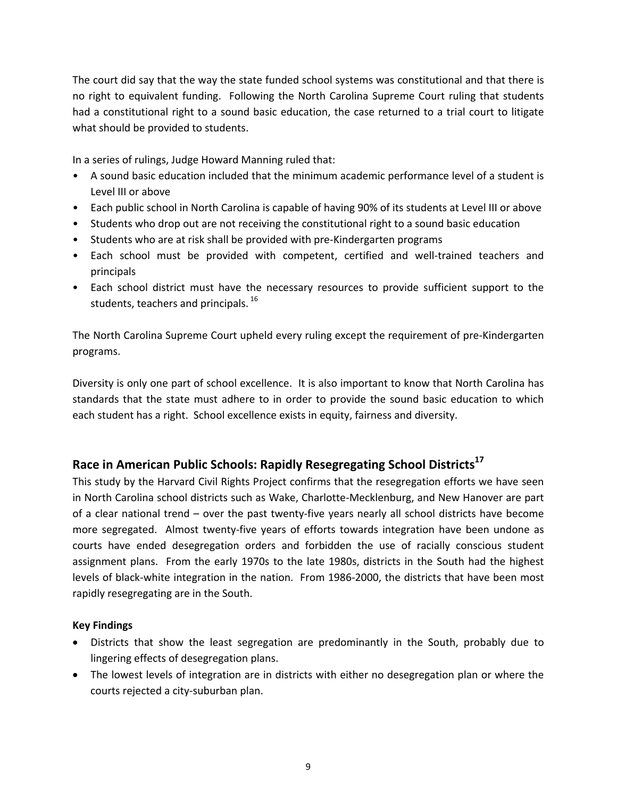The court did say that the way the state funded school systems was constitutional and that there is no right to equivalent funding. Following the North Carolina Supreme Court ruling that students had a constitutional right to a sound basic education, the case returned to a trial court to litigate what should be provided to students.

In a series of rulings, Judge Howard Manning ruled that:

- A sound basic education included that the minimum academic performance level of a student is Level III or above
- Each public school in North Carolina is capable of having 90% of its students at Level III or above
- Students who drop out are not receiving the constitutional right to a sound basic education
- Students who are at risk shall be provided with pre‐Kindergarten programs
- Each school must be provided with competent, certified and well‐trained teachers and principals
- Each school district must have the necessary resources to provide sufficient support to the students, teachers and principals.<sup>16</sup>

The North Carolina Supreme Court upheld every ruling except the requirement of pre‐Kindergarten programs.

Diversity is only one part of school excellence. It is also important to know that North Carolina has standards that the state must adhere to in order to provide the sound basic education to which each student has a right. School excellence exists in equity, fairness and diversity.

# **Race in American Public Schools: Rapidly Resegregating School Districts17**

This study by the Harvard Civil Rights Project confirms that the resegregation efforts we have seen in North Carolina school districts such as Wake, Charlotte‐Mecklenburg, and New Hanover are part of a clear national trend – over the past twenty-five years nearly all school districts have become more segregated. Almost twenty-five years of efforts towards integration have been undone as courts have ended desegregation orders and forbidden the use of racially conscious student assignment plans. From the early 1970s to the late 1980s, districts in the South had the highest levels of black‐white integration in the nation. From 1986‐2000, the districts that have been most rapidly resegregating are in the South.

## **Key Findings**

- Districts that show the least segregation are predominantly in the South, probably due to lingering effects of desegregation plans.
- The lowest levels of integration are in districts with either no desegregation plan or where the courts rejected a city‐suburban plan.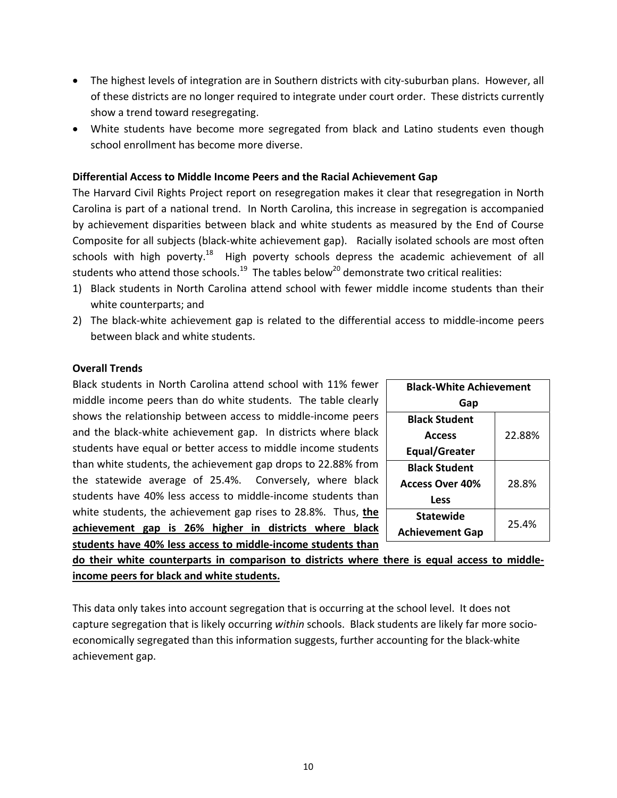- The highest levels of integration are in Southern districts with city-suburban plans. However, all of these districts are no longer required to integrate under court order. These districts currently show a trend toward resegregating.
- White students have become more segregated from black and Latino students even though school enrollment has become more diverse.

## **Differential Access to Middle Income Peers and the Racial Achievement Gap**

The Harvard Civil Rights Project report on resegregation makes it clear that resegregation in North Carolina is part of a national trend. In North Carolina, this increase in segregation is accompanied by achievement disparities between black and white students as measured by the End of Course Composite for all subjects (black‐white achievement gap). Racially isolated schools are most often schools with high poverty.<sup>18</sup> High poverty schools depress the academic achievement of all students who attend those schools.<sup>19</sup> The tables below<sup>20</sup> demonstrate two critical realities:

- 1) Black students in North Carolina attend school with fewer middle income students than their white counterparts; and
- 2) The black-white achievement gap is related to the differential access to middle-income peers between black and white students.

### **Overall Trends**

Black students in North Carolina attend school with 11% fewer middle income peers than do white students. The table clearly shows the relationship between access to middle‐income peers and the black‐white achievement gap. In districts where black students have equal or better access to middle income students than white students, the achievement gap drops to 22.88% from the statewide average of 25.4%. Conversely, where black students have 40% less access to middle‐income students than white students, the achievement gap rises to 28.8%. Thus, **the achievement gap is 26% higher in districts where black students have 40% less access to middle‐income students than**

| <b>Black-White Achievement</b> |        |
|--------------------------------|--------|
| Gap                            |        |
| <b>Black Student</b>           |        |
| <b>Access</b>                  | 22.88% |
| <b>Equal/Greater</b>           |        |
| <b>Black Student</b>           |        |
| <b>Access Over 40%</b>         | 28.8%  |
| Less                           |        |
| <b>Statewide</b>               | 25.4%  |
| <b>Achievement Gap</b>         |        |

**do their white counterparts in comparison to districts where there is equal access to middle‐ income peers for black and white students.**

This data only takes into account segregation that is occurring at the school level. It does not capture segregation that is likely occurring *within* schools. Black students are likely far more socio‐ economically segregated than this information suggests, further accounting for the black-white achievement gap.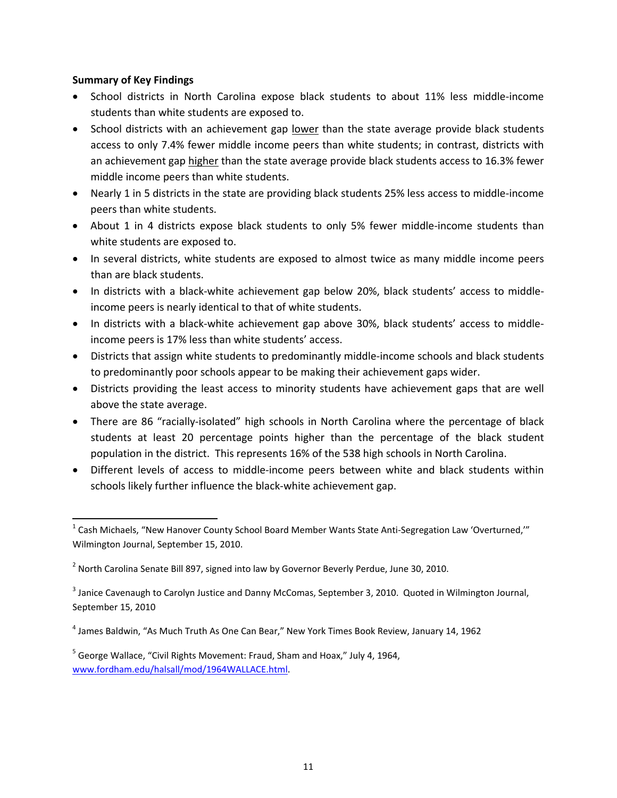## **Summary of Key Findings**

- School districts in North Carolina expose black students to about 11% less middle-income students than white students are exposed to.
- School districts with an achievement gap lower than the state average provide black students access to only 7.4% fewer middle income peers than white students; in contrast, districts with an achievement gap higher than the state average provide black students access to 16.3% fewer middle income peers than white students.
- Nearly 1 in 5 districts in the state are providing black students 25% less access to middle‐income peers than white students.
- About 1 in 4 districts expose black students to only 5% fewer middle-income students than white students are exposed to.
- In several districts, white students are exposed to almost twice as many middle income peers than are black students.
- In districts with a black-white achievement gap below 20%, black students' access to middleincome peers is nearly identical to that of white students.
- In districts with a black-white achievement gap above 30%, black students' access to middleincome peers is 17% less than white students' access.
- Districts that assign white students to predominantly middle‐income schools and black students to predominantly poor schools appear to be making their achievement gaps wider.
- Districts providing the least access to minority students have achievement gaps that are well above the state average.
- There are 86 "racially‐isolated" high schools in North Carolina where the percentage of black students at least 20 percentage points higher than the percentage of the black student population in the district. This represents 16% of the 538 high schools in North Carolina.
- Different levels of access to middle-income peers between white and black students within schools likely further influence the black‐white achievement gap.

 $<sup>5</sup>$  George Wallace, "Civil Rights Movement: Fraud, Sham and Hoax," July 4, 1964,</sup> www.fordham.edu/halsall/mod/1964WALLACE.html.

  $1$  Cash Michaels, "New Hanover County School Board Member Wants State Anti-Segregation Law 'Overturned,'" Wilmington Journal, September 15, 2010.

 $2$  North Carolina Senate Bill 897, signed into law by Governor Beverly Perdue, June 30, 2010.

<sup>&</sup>lt;sup>3</sup> Janice Cavenaugh to Carolyn Justice and Danny McComas, September 3, 2010. Quoted in Wilmington Journal, September 15, 2010

<sup>4</sup> James Baldwin, "As Much Truth As One Can Bear," New York Times Book Review, January 14, 1962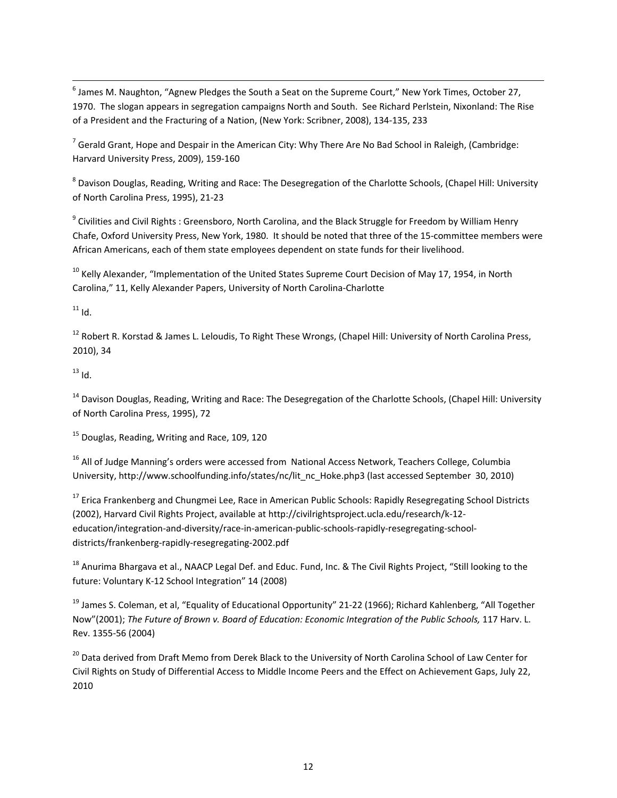<u> 1989 - Johann Stoff, amerikansk politiker (d. 1989)</u>  $6$  James M. Naughton, "Agnew Pledges the South a Seat on the Supreme Court," New York Times, October 27, 1970. The slogan appears in segregation campaigns North and South. See Richard Perlstein, Nixonland: The Rise of a President and the Fracturing of a Nation, (New York: Scribner, 2008), 134‐135, 233

 $7$  Gerald Grant, Hope and Despair in the American City: Why There Are No Bad School in Raleigh, (Cambridge: Harvard University Press, 2009), 159‐160

<sup>8</sup> Davison Douglas, Reading, Writing and Race: The Desegregation of the Charlotte Schools, (Chapel Hill: University of North Carolina Press, 1995), 21‐23

<sup>9</sup> Civilities and Civil Rights : Greensboro, North Carolina, and the Black Struggle for Freedom by William Henry Chafe, Oxford University Press, New York, 1980. It should be noted that three of the 15‐committee members were African Americans, each of them state employees dependent on state funds for their livelihood.

 $10$  Kelly Alexander, "Implementation of the United States Supreme Court Decision of May 17, 1954, in North Carolina," 11, Kelly Alexander Papers, University of North Carolina‐Charlotte

 $11$  Id.

<sup>12</sup> Robert R. Korstad & James L. Leloudis, To Right These Wrongs, (Chapel Hill: University of North Carolina Press, 2010), 34

 $13$  Id.

<sup>14</sup> Davison Douglas, Reading, Writing and Race: The Desegregation of the Charlotte Schools, (Chapel Hill: University of North Carolina Press, 1995), 72

<sup>15</sup> Douglas, Reading, Writing and Race, 109, 120

<sup>16</sup> All of Judge Manning's orders were accessed from National Access Network, Teachers College, Columbia University, http://www.schoolfunding.info/states/nc/lit\_nc\_Hoke.php3 (last accessed September 30, 2010)

<sup>17</sup> Erica Frankenberg and Chungmei Lee, Race in American Public Schools: Rapidly Resegregating School Districts (2002), Harvard Civil Rights Project, available at http://civilrightsproject.ucla.edu/research/k‐12‐ education/integration-and-diversity/race-in-american-public-schools-rapidly-resegregating-schooldistricts/frankenberg‐rapidly‐resegregating‐2002.pdf

<sup>18</sup> Anurima Bhargava et al., NAACP Legal Def. and Educ. Fund, Inc. & The Civil Rights Project, "Still looking to the future: Voluntary K‐12 School Integration" 14 (2008)

<sup>19</sup> James S. Coleman, et al, "Equality of Educational Opportunity" 21-22 (1966); Richard Kahlenberg, "All Together Now"(2001); *The Future of Brown v. Board of Education: Economic Integration of the Public Schools,* 117 Harv. L. Rev. 1355‐56 (2004)

<sup>20</sup> Data derived from Draft Memo from Derek Black to the University of North Carolina School of Law Center for Civil Rights on Study of Differential Access to Middle Income Peers and the Effect on Achievement Gaps, July 22, 2010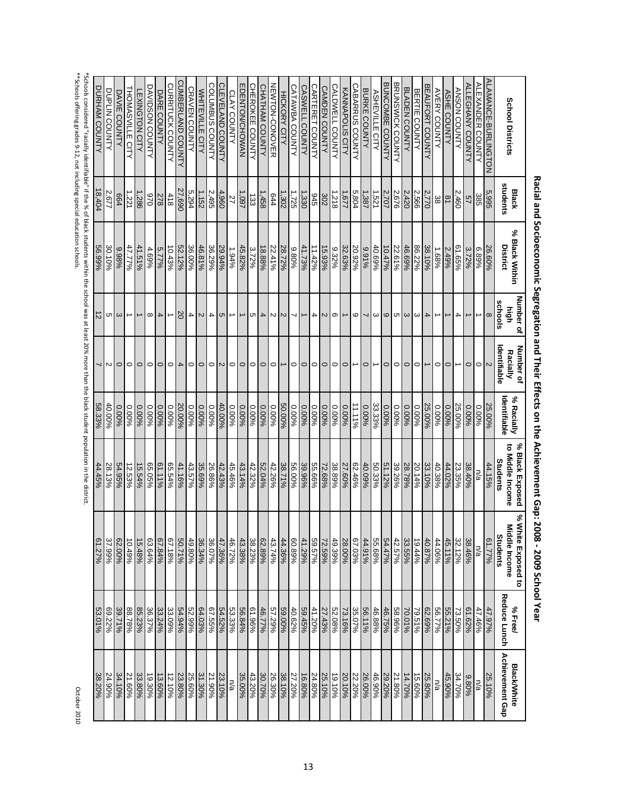October 2010

\*Schools considered "racially identifiable" if the % of black students within the school was at least 20% more than the black student population in the district.

\*\*Schools offering grades 9‐12, not including special education schools.

|                                |                          |                            | Number of                                 | Number of                             |                            | % Black Exposed              | % White Exposed to               |                         |                                              |
|--------------------------------|--------------------------|----------------------------|-------------------------------------------|---------------------------------------|----------------------------|------------------------------|----------------------------------|-------------------------|----------------------------------------------|
| <b>School Districts</b>        | students<br><b>Black</b> | % Black Within<br>District | schools<br>high                           | <b>dentifiable</b><br><b>Racially</b> | ldentifiable<br>% Racially | to Middle Income<br>Students | Viddle Income<br><b>Students</b> | Reduce Lunch<br>% Free/ | <b>Achievement Gap</b><br><b>Black/White</b> |
| ALAMANCE-BURLINGTON            | 5,995                    | 26.60%                     | $\infty$                                  |                                       | 25.00%                     | 44.15%                       | 61.77%                           | 47.97%                  | 25.10%                                       |
| ALEXANDER COUNTY               | 385                      | 6.89%                      |                                           | $\circ$                               | 96000                      | na                           | n/a                              | 47.46%                  | n/a                                          |
| ALEGHANY COUNTY                | 57                       | 3.72%                      |                                           | $\circ$                               | 0.00%                      | 38.40%                       | 38.46%                           | 61.62%                  | 9.80%                                        |
| ATNUOO NOSNA                   | 2,460                    | 61.65%                     | 4                                         | ∸                                     | 25.00%                     | 23.35%                       | 32.12%                           | 73.50%                  | 34.70%                                       |
| <b>ASHE COUNTY</b>             | $\overline{8}$           | 2.49%                      |                                           | $\circ$                               | 0.00%                      | 44.02%                       | 45.11%                           | 55.21%                  | 45.90%                                       |
| <b>AVERY COUNTY</b>            | ಜ                        | 1.689 <sub>6</sub>         |                                           | 0                                     | 96000                      | 40.38%                       | 44.06%                           | 56.77%                  | n/a                                          |
| BEAUFORT COUNTY                | 2,770                    | 38.10%                     | $\overline{4}$                            |                                       | 25.00%                     | 33.10%                       | 40.87%                           | 62.69%                  | 25.80%                                       |
| <b>BERTIE</b><br><b>COUNTY</b> | 2,566                    | 86.22%                     |                                           | $\circ$                               | 0.00%                      | 20.14%                       | 19.44%                           | 79.51%                  | 15.60%                                       |
| <b>BLADEN COUNTY</b>           | 2,420                    | 46.69%                     | $\sim$ $\sim$ $\sim$ $\sim$ $\sim$ $\sim$ | $\circ$                               | 0.00%                      | 28.78%                       | 33.55%                           | 70.01%                  | 14.70%                                       |
| BRUNSWICK COUNTY               | 2,676                    | 22.61%                     |                                           | $\circ$                               | 9600.0                     | 39.26%                       | 42.57%                           | 58.96%                  | 21.80%                                       |
| BUNCOMBE COUNTY                | 2,707                    | $10.47\%$                  |                                           | $\circ$                               | 96000                      | 51.12%                       | 54.47%                           | 46.75%                  | 29.20%                                       |
| <b>ASHEVILLE CITY</b>          | 1,521                    | 40.69%                     |                                           |                                       | 33.33%                     | 50.33%                       | 55.68%                           | 46.88%                  | 46.90%                                       |
| BURKE COUNTY                   | 1,387                    | 9.91%                      |                                           | $\circ$                               | 96000                      | 40.09%                       | 44.91%                           | 56.11%                  | 26.00%                                       |
| <b>CABARRUS COUNTY</b>         | 5,804                    | 20.92%                     | 6                                         |                                       | 11.11%                     | 62.46%                       | 67.03%                           | 35.07%                  | 22.20%                                       |
| KANNAPOLIS CITY                | 1,677                    | 32.63%                     |                                           | $\circ$                               | 96000                      | 27.60%                       | 28.00%                           | 73.16%                  | 20.10%                                       |
| CALDWELL COUNTY                | 1,218                    | 9.32%                      |                                           | $\circ$                               | 0.00%                      | 38.89%                       | 49.39%                           | 52.08%                  | 19.10%                                       |
| CAMDEN COUNTY                  | 302                      | 15.93%                     | N <sub>o</sub>                            | $\circ$                               | 0.00%                      | 72.68%                       | 72.59%                           | 27.43%                  | 25.10%                                       |
| <b>CARTERET COUNTY</b>         | 945                      | 11.42%                     | 4                                         | $\circ$                               | 0.00%                      | 55.66%                       | 59.57%                           | 41.20%                  | 24.80%                                       |
| CASWELL COUNTY                 | 1,330                    | 41.73%                     |                                           | $\circ$                               | 96000                      | 39.96%                       | 41.29%                           | 59.45%                  | 16.80%                                       |
| CATAWBA COUNTY                 | 1,725                    | 9,80%                      |                                           | $\circ$                               | 0.00%                      | 56.00%                       | 60.89%                           | 40.62%                  | 27.20%                                       |
| HICKORY CITY                   | 1,302                    | 28.72%                     | N <sub>N</sub>                            |                                       | 50.00%                     | 38.71%                       | 44.36%                           | 59.00%                  | 38.10%                                       |
| NEWTON-CONOVER                 | 644                      | 22.41%                     |                                           | $\circ$                               | 0.00%                      | 42.26%                       | 43.74%                           | 57.29%                  | 26.30%                                       |
| CHATHAM COUNTY                 | 1,458                    | 18.88%                     | 40                                        | $\circ$                               | 0.00%                      | 52.04%                       | 62.89%<br>38.23%                 | 46.77%                  | 30.70%                                       |
| <b>CHEROKEE COUNTY</b>         | $\frac{1}{33}$           | 3.72%                      |                                           | 0                                     | 0.00%                      | 42.32%                       |                                  | 81.96%                  | 43.20%                                       |
| <b>EDENTON/ANNAN</b>           | 1,097                    | 45.82%                     |                                           | $\circ$                               | 0.00%                      | 43.14%                       | 43.38%                           | 56.84%                  | 35.00%                                       |
| CLAY COUNT                     | 27                       | 1.94%                      |                                           | $\circ$                               | 0.00%                      | 45.46%                       | 46.72%                           | 53.33%                  | n/a                                          |
| CLEVELAND COUNTY               | 4,960                    | 29.94%                     | ပ္စ္                                      | $\mathsf{N}$                          | 40.00%                     | 42.43%                       | 47.36%                           | 54.52%                  | 23.10%                                       |
| COLUMBUS COUNTY                | 2,495                    | 36.29%                     |                                           | $\circ$                               | 0.00%                      | 26.86%                       | 36.07%                           | 67.55%                  | 21.90%                                       |
| <b>WHITEVILLE CITY</b>         | 1,152                    | 46.81%                     | 4 <sub>M</sub>                            | $\circ$                               | 0.00%                      | 35.69%                       | 36.34%                           | 64.03%                  | 31.30%                                       |
| <b>CRAVEN COUNTY</b>           | 5,294                    |                            | 4                                         | $\circ$                               | 0.00%                      | 43.57%                       | 49.80%                           | 52.99%                  | 25.60%                                       |
| CUMBERLAND COUNTY              | 27,690                   | 36.00%<br>52.12%           | 20                                        | 4                                     | 20.00%                     | 41.16%                       | 50.71%                           | 54.94%                  | 23.80%                                       |
| CURRITUCK COUNTY               | 418                      | 10.43%                     | ∸                                         | 0                                     | 9600.0                     | 65.54%                       | 67.18%                           | 33.09%                  | $12.10\%$                                    |
| DARE COUNTY                    | 278                      | 5.77%                      |                                           | $\circ$                               | 0.00%                      | $61.11\%$                    | 67.84%                           | 33.24%                  | 13.60%                                       |
| <b>DAVIDSON COUNTY</b>         | 026                      | 4.69%                      | $4\alpha$                                 | 0                                     | 0.00%                      | 65.05%                       | 63.64%                           | 36.37%                  | 19.30%                                       |
| LEXINGTON CITY                 | 1,286                    | 41.51%                     |                                           | $\circ$                               | 0.00%                      | 15.54%                       | 15.48%                           | 85.23%                  | 33.80%<br>21.60%                             |
| HOMASVILE CITY                 | 1,221                    | 47.77%                     |                                           | $\circ$                               | 0.00%                      | 12.53%                       | 10.49%                           | 88.78%                  |                                              |
| DAVIE COUNTY                   | 664                      | 9.98%                      | ပာ   ယ                                    | $\circ$                               | 0.00%                      | 54.95%                       | 62.00%                           | 39.71%                  | 34.10%                                       |
| DUPLIN COUNTY                  | 2.677                    | 30.10%                     |                                           | ュト                                    | 40.00%                     | 28.13%                       | 37.99%                           | 69.22%                  | 24.90%                                       |
| DURHAM COUNTY                  | 18,404                   | 56.99%                     | $\vec{z}$                                 |                                       | 58.33%                     | 44.45%                       | 61.27%                           | 53.01%                  | 38.20%                                       |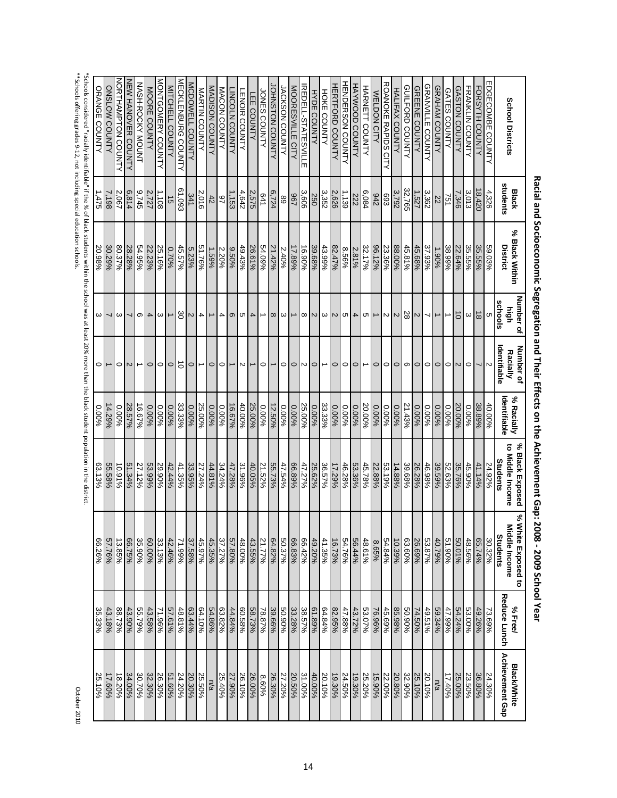October 2010

\*Schools considered "racially identifiable" if the % of black students within the school was at least 20% more than the black student population in the district.

\*\*Schools offering grades 9‐12, not including special education schools.

|                            |                          |                            | Number of                              | Number of                      |                            | % Black Exposed                     | % White Exposed to              |                           |                                              |
|----------------------------|--------------------------|----------------------------|----------------------------------------|--------------------------------|----------------------------|-------------------------------------|---------------------------------|---------------------------|----------------------------------------------|
| <b>School Districts</b>    | students<br><b>Black</b> | % Black Within<br>District | schools<br>high                        | dentifiable<br><b>Racially</b> | ldentifiable<br>% Racially | to Middle Income<br><b>Students</b> | iddle Income<br><b>Students</b> | Reduce Lunch<br>% Free/   | <b>Achievement Gap</b><br><b>Black/White</b> |
| EDGECOMBE COUNTY           | 4,326                    | 59.03%                     | cл                                     |                                | 40.00%                     | 24.92%                              | 30.32%                          | 73.69%                    | 24.30%                                       |
| FORSYTH COUNTY             | 18,420                   | 35.55%                     | $\stackrel{\rightharpoonup }{\infty }$ | $\prec$                        | 38.89%                     | 41.14%                              | 65.74%                          | 49.26%                    | 36.80%                                       |
| FRANKLIN COUNTY            | 3,013                    | 35.55%                     | ω                                      | $\circ$                        | 9600'0                     | 45.90%                              | 48.56%                          | 53.00%                    | 23.50%                                       |
| <b>GASTON COUNTY</b>       | 7,346                    | 22.64%                     | $\overrightarrow{0}$                   | $\sim$                         | 20.00%                     | 35.76%                              | 50.01%                          | 54.24%                    | 25.00%                                       |
| GATES COUNTY               | 751                      | 38.99%                     |                                        | $\circ$                        | 0.00%                      | 52.63%                              | 51.90%                          | 47.99%                    | 17.40%                                       |
| GRAHAM COUNTY              | Z2                       | 1.90%                      | ∸                                      | $\circ$                        | 0.00%                      | 39.59%                              | 40.79%                          | 59.34%                    | n/a                                          |
| <b>GRANVILLE COUNTY</b>    | 3,362                    | 37.93%                     | ∼                                      | $\circ$                        | 0.00%                      | 46.98%                              | 53.87%                          | 49.51%                    | 20.10%                                       |
| GREENE COUNTY              | 1,527                    | 45.68%                     |                                        | $\circ$                        | 0.00%                      | 26.28%                              | 26.69%                          | 74.50%                    | 25.10%                                       |
| GUILFORD COUNTY            | 32,765                   | 45.81%                     | $\frac{2}{8}$                          | თ                              | 21.43%                     | 39.68%                              | 63.60%                          | 50.90%                    | 32.90%                                       |
| HALIFAX COUNTY             | 3,792                    | 88.00%                     | $\sim$                                 | $\circ$                        | 0.00%                      | $14.88\%$                           | 10.39%                          | 85.98%                    | 20.80%                                       |
| ROANOKE RAPIDS CITY        | <b>693</b>               | 23.36%                     | $\sim$                                 | $\circ$                        | 9600.0                     | 53.19%                              | 54.84%                          | 45.69%                    | 22.00%                                       |
| WELDON CITY                | 342                      | 96.12%                     | →                                      | $\circ$                        | 0.00%                      | 22.88%                              | 8.65%                           | 76.96%                    | 15.90%                                       |
| HARNETT COUNTY             | 6,084                    | 32.17%                     | ပ္စ                                    |                                | 20.00%                     | 45.78%                              | 48.61%                          | 53.07%                    | 25.20%                                       |
| HAYWOOD COUNTY             | 222                      | 2.81%                      |                                        | $\circ$                        | $0.00\%$                   | 53.36%                              | 56.44%                          | 43.72%                    | 19.30%                                       |
| HENDERSON COUNTY           | 1,139                    | 8.56%                      | $4\sqrt{2}$                            | 0                              | 9600.0                     | 46.28%                              | 54.76%                          | 47.88%                    | 24.50%                                       |
| HERTFORD COUNTY            | 2,626                    | 82.47%                     | $\sim$                                 | $\circ$                        | 0.00%                      | 17.29%                              | 16.73%                          | 82.95%                    | 19.30%                                       |
| HOKE COUNTY                | 3,352                    | 43.99%                     | $\omega$                               |                                | 33.33%                     | 36.57%                              | 41.35%                          | 64.84%                    | 20.10%                                       |
| HYDE COUNTY                | 250                      | 39.68%                     | $\sim$                                 | 0                              | 0.00%                      | 25.62%                              | 49.20%                          | 61.89%                    | 40.00%                                       |
| <b>REDELL-STATE SVILLE</b> | 3,606                    | 16.90%                     | ∞                                      | N                              | 25.00%                     | 47.27%                              | 66.42%                          | 38.57%                    | 31.00%                                       |
| MOORESVILLE CITY           | <b>296</b>               | 17.89%                     |                                        | $\circ$                        | 0.00%                      | 66.89%                              | 66.83%                          | 33.28%                    | 20.50%                                       |
| JACKSON COUNTY             | 68                       | 2.40%                      | ω                                      | 0                              | 0.00%                      | 47.54%                              | 50.37%                          | 50.90%                    | 27.20%                                       |
| OHNSTON COUNTY             | 6,724                    | 21.42%                     | $\infty$                               |                                | 12.50%                     | 55.73%                              | 64.82%                          | 39.66%                    | 26.30%                                       |
| <b>DNES COUNTY</b>         | 179                      | 54.09%                     |                                        | $\circ$                        | 0.00%                      | 21.52%                              | 21.77%                          | 78.87%                    | 8.60%                                        |
| LEE COUNTY                 | 2,575                    | 26.61%                     | 4                                      |                                | 25.00%                     | 40.05%                              | 43.55%                          | 58.73%                    | 26.00%                                       |
| ENOIR COUNTY               | 4,642                    | 49.43%                     | (၂                                     | $\mathbf{v}$                   | 40.00%                     | 31.96%                              | 48.00%                          | 60.58%                    | 26.10%                                       |
| INCOLN COUNTY              | 1,153                    | 9.50%                      | $\circ$                                |                                | 16.67%                     | 47.28%                              | 57.80%                          | 44.84%                    | 27.90%                                       |
| MACON COUNTY               | 46                       | 2.20%                      | $\overline{\mathbf{4}}$                | $\circ$                        | 0.00%                      | 34.24%                              | 37.27%                          | 63.82%                    | 25.40%                                       |
| <b>MADISON COUNTY</b>      | $42$                     | 1.59%                      | ∸∣                                     |                                | 0.00%                      | 44.81%                              | 45.35%                          | 54.86%                    | n/a                                          |
| MARTIN COUNTY              | 2,016                    | 51.76%                     | 4                                      |                                | 25.00%                     | 27.24%                              | 45.97%                          | 64.10%                    | 25.50%                                       |
| MCDOWELL COUNTY            | 341                      | 5.23%                      | $\overline{c}$                         | $\circ$                        | 0.00%                      | 33.95%                              | 37.58%                          | 63.44%                    | 20.30%                                       |
| NECKLENBORG COONTY         | 61,093                   | 45.57%                     | 30                                     | ਠ                              | 33.33%                     | 41.35%                              | 71.99%                          | 48.81%                    | 24.20%                                       |
| MITCHELL COUNTY            | $\vec{q}$                | 9602.0                     | $\rightarrow$                          | $\circ$                        | 0.00%                      | 42.44%                              | 42.46%                          | 57.61%                    | 51.60%                                       |
| MONTGOMERY COUNTY          | 1,108                    | 25.16%                     | ω                                      | $\circ$                        | 0.00%                      | 29.90%                              | 33.13%                          | 71.96%                    | 26.30%                                       |
| MOORE COUNTY               | 2,727                    | 22.23%                     | $\overline{4}$                         | $\circ$                        | 0.00%                      | 53.99%                              | 60.00%                          | 43.58%                    | 32.30%                                       |
| NASH-ROCKA MOLNI           | 9,745                    | 54.95%                     | တ                                      |                                | 16.67%                     | 27.12%                              | 35.90%                          | 55.79%                    | 30.70%                                       |
| NEW HANOVER COUNTY         | 6,814                    | 28.28%                     | ┙                                      | $\sim$                         | 28.57%                     | 51.34%                              | 66.75%                          | 43.90%                    | 34.00%                                       |
| NORTHAMPTON COUNTY         | 2,067                    | 80.37%                     | $\omega$                               | $\circ$                        | 0.00%                      | 10.91%                              | 13.85%                          | 88.73%                    | 18.20%                                       |
| ONSLOW COUNTY              | 7,198                    | 30.29%                     | ┙                                      |                                | 14.29%                     | 55.58%                              | 57.76%                          |                           | 17.60%                                       |
| ORANGE COUNTY              | 1,475                    | 20.98%                     | $\omega$                               | $\circ$                        | 0.00%                      | 63.13%                              | 66.26%                          | $\frac{43.18\%}{35.33\%}$ | 25.10%                                       |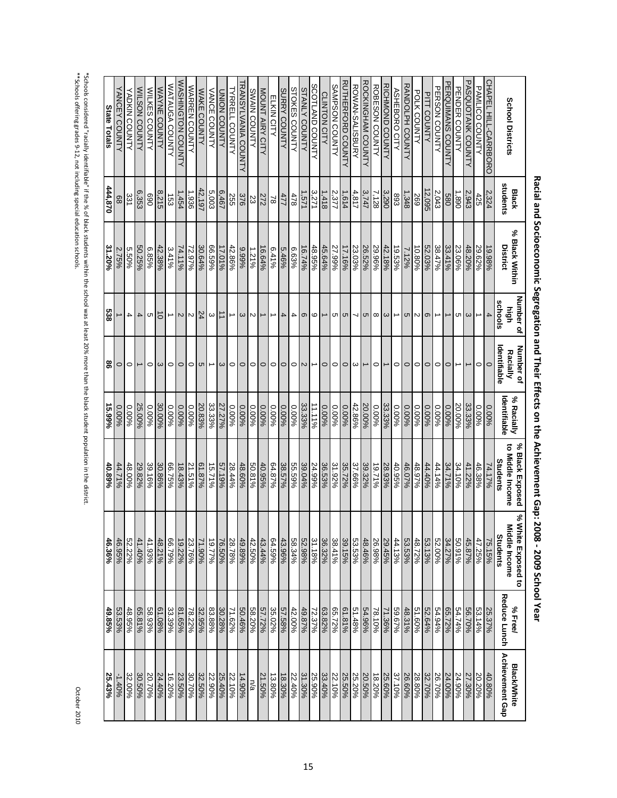October 2010

\*Schools considered "racially identifiable" if the % of black students within the school was at least 20% more than the black student population in the district. \*\*Schools offering grades 9‐12, not including special education schools.

| <b>School Districts</b>  | students<br><b>Black</b> | % Black Within<br>District | Number of<br>schools<br>high | ldentifiable<br>Number of<br><b>Racially</b> | ldentifiable<br>% Racially | to Middle Income<br>% Black Exposed<br>Students | % White Exposed to<br>Ξ<br>iddle Income<br><b>Students</b> | Reduce Lunch<br>% Free/ | <b>Achievement Gap</b><br><b>Black/White</b> |
|--------------------------|--------------------------|----------------------------|------------------------------|----------------------------------------------|----------------------------|-------------------------------------------------|------------------------------------------------------------|-------------------------|----------------------------------------------|
| CHAPEL HIL-CARABORO      | 2,324                    | 19.98%                     | 4                            | $\circ$                                      | 0.00%                      | 74.17%                                          | 75.15%                                                     | 25.37%                  | 40.80%                                       |
| PAMLICO COUNTY           | 425                      | 29.62%                     |                              | $\circ$                                      | 96000                      | 46.38%                                          | 47.25%                                                     | 53.14%                  | 20.20%                                       |
| PASQUOTANK COUNTY        | 2,943                    | 48.20%                     | $\omega$                     | ∸                                            | 33.33%                     | 41.22%                                          | 45.87%                                                     | 56.70%                  | 27.30%                                       |
| PENDER COUNTY            | 1,890                    | 23.06%                     | יט.                          | ∸                                            | 20.00%                     | 34.10%                                          | 50.91%                                                     | 54.74%                  | 24.90%                                       |
| <b>PERQUIMANS COUNTY</b> | 089                      | 33.41%                     |                              |                                              | 0.00%                      | 34.71%                                          |                                                            | 65.72%                  | 24.00%                                       |
| PERSON COUNTY            | 2,043                    | 38.47%                     |                              | $\circ$                                      | 0.00%                      | 44.14%                                          | 34.27%<br>52.00%                                           | 84.94%                  | 26.70%                                       |
| PITT COUNTY              | 12,095                   | 52.03%                     | $\sigma$                     | $\circ$                                      | 0.00%                      | 44.40%                                          | 53.13%                                                     | 52.64%                  | 32.70%                                       |
| POLK COUNTY              | 569                      | 10.80%                     |                              | $\circ$                                      | 0.00%                      | 48.97%                                          | 48.72%                                                     | 51.60%                  | 28.80%                                       |
| RANDOLPH COUNTY          | 348                      | 7.12%                      | O <sub>1</sub>               | $\circ$                                      | 0.00%                      | 46.07%                                          | 53.53%                                                     | 48.31%                  | 26.60%                                       |
| <b>ASHEBORO CITY</b>     | 893                      | 19.53%                     | $\rightarrow$                | $\overline{\phantom{0}}$                     | 0.00%                      | 40.95%                                          | 44.13%                                                     | 59.67%                  | 37.10%                                       |
| <b>AIGHNOND COUNTY</b>   | 3,290                    | 42.18%                     |                              |                                              | 33.33%                     | 28.93%                                          | 29.45%                                                     | 71.36%                  | 25.60%                                       |
| ROBESON COUNTY           | 7,128                    | 29.96%                     |                              |                                              | 0.00%                      | %12.61                                          | 26.98%                                                     | 78.10%                  | 18.20%                                       |
| ROCKINGHAM COUNTY        | 3,747                    | 26.52%                     | $\sim$ 0 $\sigma$ $\omega$   | ⇔∣∸∣ం                                        | 20.00%                     | 39.32%                                          | 48.46%                                                     | 54.96%                  | 20.50%                                       |
| ROWAN-SALISBURY          | 4,817                    | 23.03%                     |                              |                                              | 42.86%                     | 37.66%                                          | 53.53%                                                     | 51.48%                  | 25.20%                                       |
| RUTHERFORD COUNTY        | 1,614                    | 17.16%                     | ហ ហ                          | $\circ$                                      | 0.00%                      | 35.72%                                          | 39.15%                                                     | 61.81%                  | 25.50%<br>22.10%                             |
| SAMPSON COUNTY           | 2,377                    | 27.99%                     |                              |                                              | 0.00%                      | 31.92%                                          | 38.41%                                                     | 65.72%                  |                                              |
| CLINTON CITY             | 1,418                    | 45.64%                     | $\rightarrow$                | $\overline{\phantom{0}}$                     | 0.00%                      | 36.53%                                          | 36.32%                                                     | 63.82%                  | 33.40%                                       |
| SCOTLAND COUNTY          | 3,271                    | 48.95%                     | ာ   ဖ                        |                                              | 1.119                      | 24.99%                                          | 31.18%                                                     | 72.37%                  | 25.90%                                       |
| STANLY COUNTY            | 571                      | 16.74%                     |                              | $\mathsf{N}$                                 | 33.33%                     | 39.04%                                          | 52.98%                                                     | 49.87%                  | 31.30%                                       |
| <b>STOKES COUNTY</b>     | 478                      | 6.63%<br>5.46%             | $\overline{\phantom{a}}$     | $\circ$                                      | 0.00%                      | 55.59%                                          | 58.34%                                                     | 42.00%                  | 22.40%                                       |
| SURRY COUNTY             | 477                      |                            | $\overline{4}$               | $\circ$                                      | 0.00%                      | 38.57%                                          | 43.96%                                                     | 57.58%                  | 18.30%                                       |
| ELKIN CITY               | $\approx$                | $6.41\%$                   | ∸                            | $\circ$                                      | 9600.0                     | 64.87%                                          | 64.59%                                                     | 35.02%                  | 13.80%                                       |
| MOUNT AIRY CITY          | 272                      | $9'$ <sub>0</sub><br>$+9'$ | ∸                            | $\circ$                                      | 0.00%                      | 40.95%                                          | 43.44%                                                     | 57.72%                  | 21.50%                                       |
| SWAIN COUNTY             | 23                       | 1.21%                      | $\sim$                       | $\circ$                                      | 9600.0                     | 50.81%                                          | 42.50%                                                     | 58.20%                  | n/a                                          |
| RANSYLVANIA COUNTY       | 376                      | 9.99%                      | $\omega$                     | $\circ$                                      | 0.00%                      | 48.60%                                          | 49.89%                                                     | 50.46%                  | 14.90%                                       |
| <b>YRRELL COUNTY</b>     | 255                      | 42.86%                     | ∸                            | $\circ$                                      | 0.00%                      | 28.44%                                          | 28.78%                                                     | 71.62%                  | 22.10%                                       |
| UNION COUNTY             | 6,467                    | 9610.21                    | ⇉                            | $\omega$                                     | 27.27%                     | 57.19%                                          | 76.50%                                                     | 30.28%                  | 25.40%                                       |
| VANCE COUNTY             | 5,003                    | 9665.59                    | $\boldsymbol{\omega}$        | ∸                                            | 33.33%                     | 15.71%                                          | 19.77%                                                     | 83.88%                  | 22.90%                                       |
| <b>WAKE COUNTY</b>       | 42,197                   | 30.64%                     | 24                           | CΠ                                           | 20.83%                     | 61.87%                                          | 71.90%                                                     | 32.95%                  | 32.50%                                       |
| <b>NARREN COUNTY</b>     | 1,936                    | 72.97%                     | N                            | $\circ$                                      | 0.00%                      | 21.51%                                          | 23.76%                                                     | 78.22%                  | 30.70%                                       |
| WASHINGTON COUNTY        | 1,454                    | 24.11%                     | $\sim$                       | $\circ$                                      | 0.00%                      | 18.43%                                          | 19.22%                                                     | 81.65%                  | 23.50%                                       |
| WATAUGA COUNTY           | 153                      | 3.41%                      | $\rightarrow$                | $\circ$ 0                                    | 9600'0                     | 66.75%                                          | 66.79%                                                     | 33.39%                  | 16.20%                                       |
| WAYNE COUNTY             | 8,215                    | 42.38%                     | $\vec{\bullet}$              |                                              | 30.00%                     | 30.86%                                          | 48.21%                                                     | 61.08%                  | 24.40%                                       |
| <b>WILKES COUNTY</b>     | 069                      | 6.85%                      | UТ                           | $\circ$                                      | 0.00%                      | 39.16%                                          | 41.93%                                                     | 58.93%                  | 20.70%                                       |
| <b>WILSON COUNTY</b>     | 6,353                    | 50.25%                     | 4                            | $\rightarrow$                                | 25.00%                     | 29.82%                                          | 41.40%                                                     | 65.81%                  | 30.50%                                       |
| YADKIN COUNTY            | 331                      | 5.50%                      | 4                            | $\circ$                                      | 0.00%                      | 48.00%                                          | 52.22%                                                     | 48.95%                  | 32.00%                                       |
| YANCEY COUNTY            | 89                       | 2.75%                      |                              | $\circ$                                      | 0.00%                      | 44.71%                                          | 46.95%                                                     | 53.53%                  | -1.40%                                       |
| <b>State Totals</b>      | 444,870                  | 31.20%                     | 538                          | 8                                            | 15.99%                     | 40.89%                                          | 46.36%                                                     | 49.85%                  | 25.43%                                       |
|                          |                          |                            |                              |                                              |                            |                                                 |                                                            |                         |                                              |

# **Racial and Socioeconomic Segregation and Their Effects on the Achievement Gap: 2008 ‐ 2009 School Year**